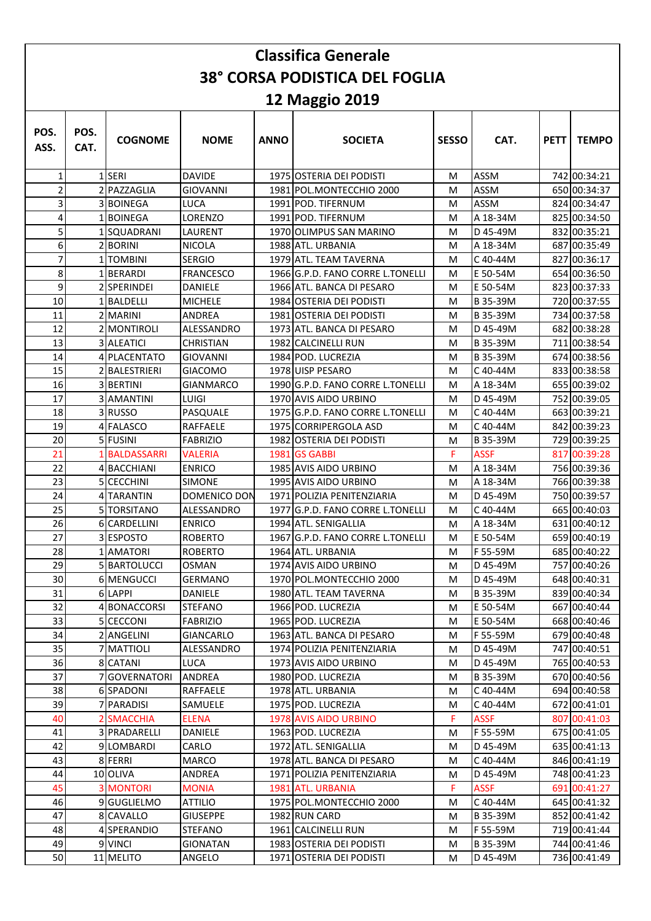| <b>Classifica Generale</b>            |              |                            |                              |             |                                                     |              |                      |             |                              |  |
|---------------------------------------|--------------|----------------------------|------------------------------|-------------|-----------------------------------------------------|--------------|----------------------|-------------|------------------------------|--|
| <b>38° CORSA PODISTICA DEL FOGLIA</b> |              |                            |                              |             |                                                     |              |                      |             |                              |  |
| <b>12 Maggio 2019</b>                 |              |                            |                              |             |                                                     |              |                      |             |                              |  |
| POS.<br>ASS.                          | POS.<br>CAT. | <b>COGNOME</b>             | <b>NOME</b>                  | <b>ANNO</b> | <b>SOCIETA</b>                                      | <b>SESSO</b> | CAT.                 | <b>PETT</b> | <b>TEMPO</b>                 |  |
| 1                                     |              | 1 SERI                     | <b>DAVIDE</b>                |             | 1975 OSTERIA DEI PODISTI                            | M            | <b>ASSM</b>          |             | 742 00:34:21                 |  |
| $\overline{2}$                        |              | 2 PAZZAGLIA                | <b>GIOVANNI</b>              |             | 1981 POL.MONTECCHIO 2000                            | M            | ASSM                 |             | 650 00:34:37                 |  |
| $\overline{3}$                        |              | 3 BOINEGA                  | <b>LUCA</b>                  |             | 1991 POD. TIFERNUM                                  | M            | <b>ASSM</b>          |             | 824 00:34:47                 |  |
| 4                                     |              | 1BOINEGA                   | LORENZO                      |             | 1991 POD. TIFERNUM                                  | М            | A 18-34M             |             | 825 00:34:50                 |  |
| 5 <sup>1</sup>                        |              | 1 SQUADRANI                | LAURENT                      |             | 1970 OLIMPUS SAN MARINO                             | M            | D 45-49M             |             | 832 00:35:21                 |  |
| 6                                     |              | 2 BORINI                   | <b>NICOLA</b>                |             | 1988 ATL. URBANIA                                   | M            | A 18-34M             |             | 687 00:35:49                 |  |
| $\overline{7}$                        |              | 1 TOMBINI                  | <b>SERGIO</b>                |             | 1979 ATL. TEAM TAVERNA                              | М            | C 40-44M             |             | 827 00:36:17                 |  |
| 8                                     |              | 1BERARDI                   | <b>FRANCESCO</b>             |             | 1966 G.P.D. FANO CORRE L.TONELLI                    | М            | E 50-54M             |             | 654 00:36:50                 |  |
| 9                                     |              | 2 SPERINDEI                | <b>DANIELE</b>               |             | 1966 ATL. BANCA DI PESARO                           | M            | E 50-54M             |             | 823 00:37:33                 |  |
| 10                                    |              | 1BALDELLI                  | <b>MICHELE</b>               |             | 1984 OSTERIA DEI PODISTI                            | M            | B 35-39M             |             | 720 00:37:55                 |  |
| 11                                    |              | 2 MARINI                   | ANDREA                       |             | 1981 OSTERIA DEI PODISTI                            | М            | B 35-39M             |             | 734 00:37:58                 |  |
| 12                                    |              | 2 MONTIROLI                | ALESSANDRO                   |             | 1973 ATL. BANCA DI PESARO                           | M            | D 45-49M             |             | 682 00:38:28                 |  |
| 13<br>14                              |              | 3 ALEATICI<br>4 PLACENTATO | <b>CHRISTIAN</b><br>GIOVANNI |             | 1982 CALCINELLI RUN<br>1984 POD. LUCREZIA           | М<br>м       | B 35-39M<br>B 35-39M |             | 711 00:38:54<br>674 00:38:56 |  |
| 15                                    |              | 2 BALESTRIERI              | GIACOMO                      |             | 1978 UISP PESARO                                    | М            | C 40-44M             |             | 833 00:38:58                 |  |
| 16                                    |              | 3 BERTINI                  | <b>GIANMARCO</b>             |             | 1990 G.P.D. FANO CORRE L.TONELLI                    | М            | A 18-34M             |             | 655 00:39:02                 |  |
| 17                                    |              | 3 IAMANTINI                | LUIGI                        |             | 1970 AVIS AIDO URBINO                               | м            | D 45-49M             |             | 752 00:39:05                 |  |
| 18                                    |              | 3 RUSSO                    | PASQUALE                     |             | 1975 G.P.D. FANO CORRE L.TONELLI                    | M            | C 40-44M             |             | 663 00:39:21                 |  |
| 19                                    |              | 4 FALASCO                  | RAFFAELE                     |             | 1975 CORRIPERGOLA ASD                               | М            | C 40-44M             |             | 842 00:39:23                 |  |
| 20                                    |              | 5 FUSINI                   | <b>FABRIZIO</b>              |             | 1982 OSTERIA DEI PODISTI                            | M            | B 35-39M             |             | 729 00:39:25                 |  |
| 21                                    |              | 1 BALDASSARRI              | <b>VALERIA</b>               |             | 1981 GS GABBI                                       | F            | <b>ASSF</b>          |             | 817 00:39:28                 |  |
| 22                                    |              | 4 BACCHIANI                | <b>ENRICO</b>                |             | 1985 AVIS AIDO URBINO                               | M            | A 18-34M             |             | 756 00:39:36                 |  |
| 23                                    |              | 5 CECCHINI                 | <b>SIMONE</b>                |             | 1995 AVIS AIDO URBINO                               | M            | A 18-34M             |             | 766 00:39:38                 |  |
| 24                                    |              | 4 TARANTIN                 | <b>DOMENICO DON</b>          |             | 1971 POLIZIA PENITENZIARIA                          | М            | D 45-49M             |             | 750 00:39:57                 |  |
| 25                                    |              | 5 TORSITANO                | ALESSANDRO                   | 1977        | <b>G.P.D. FANO CORRE L.TONELLI</b>                  | M            | C 40-44M             |             | 665 00:40:03                 |  |
| 26                                    |              | 6 CARDELLINI               | <b>ENRICO</b>                |             | 1994 ATL. SENIGALLIA                                | м            | A 18-34M             |             | 631 00:40:12                 |  |
| 27                                    |              | 3 ESPOSTO                  | <b>ROBERTO</b>               |             | 1967 G.P.D. FANO CORRE L.TONELLI                    | M            | E 50-54M             |             | 659 00:40:19                 |  |
| 28                                    |              | 1 AMATORI                  | <b>ROBERTO</b>               |             | 1964 ATL. URBANIA                                   | М            | F 55-59M             |             | 685 00:40:22                 |  |
| 29                                    |              | 5 BARTOLUCCI               | <b>OSMAN</b>                 |             | 1974 AVIS AIDO URBINO                               | м            | D 45-49M             |             | 757 00:40:26                 |  |
| 30                                    |              | 6 MENGUCCI                 | <b>GERMANO</b>               |             | 1970 POL.MONTECCHIO 2000                            | м            | D 45-49M             |             | 648 00:40:31                 |  |
| 31                                    |              | 6 LAPPI                    | DANIELE                      |             | 1980 ATL. TEAM TAVERNA                              | м            | B 35-39M             |             | 839 00:40:34                 |  |
| 32                                    |              | 4 BONACCORSI               | <b>STEFANO</b>               |             | 1966 POD. LUCREZIA                                  | м            | E 50-54M             |             | 667 00:40:44                 |  |
| 33                                    |              | 5 CECCONI                  | <b>FABRIZIO</b>              |             | 1965 POD. LUCREZIA                                  | м            | E 50-54M             |             | 668 00:40:46                 |  |
| 34                                    |              | 2 ANGELINI                 | <b>GIANCARLO</b>             |             | 1963 ATL. BANCA DI PESARO                           | M            | F 55-59M             |             | 679 00:40:48                 |  |
| 35<br>36                              |              | 7 MATTIOLI<br>8 CATANI     | ALESSANDRO<br><b>LUCA</b>    |             | 1974 POLIZIA PENITENZIARIA<br>1973 AVIS AIDO URBINO | м            | D 45-49M<br>D 45-49M |             | 747 00:40:51<br>765 00:40:53 |  |
| 37                                    |              | 7 GOVERNATORI              | <b>ANDREA</b>                |             | 1980 POD. LUCREZIA                                  | м            | B 35-39M             |             | 670 00:40:56                 |  |
| 38                                    |              | 6 SPADONI                  | RAFFAELE                     |             | 1978 ATL. URBANIA                                   | м<br>м       | C 40-44M             |             | 694 00:40:58                 |  |
| 39                                    |              | 7 PARADISI                 | SAMUELE                      |             | 1975 POD. LUCREZIA                                  | М            | C 40-44M             |             | 672 00:41:01                 |  |
| 40                                    |              | 2 SMACCHIA                 | <b>ELENA</b>                 |             | <b>1978 AVIS AIDO URBINO</b>                        | F.           | <b>ASSF</b>          |             | 807 00:41:03                 |  |
| 41                                    |              | 3 PRADARELLI               | DANIELE                      |             | 1963 POD. LUCREZIA                                  | м            | F 55-59M             |             | 675 00:41:05                 |  |
| 42                                    |              | 9 LOMBARDI                 | CARLO                        |             | 1972 ATL. SENIGALLIA                                | м            | D 45-49M             |             | 635 00:41:13                 |  |
| 43                                    |              | 8 FERRI                    | <b>MARCO</b>                 |             | 1978 ATL. BANCA DI PESARO                           | м            | C 40-44M             |             | 846 00:41:19                 |  |
| 44                                    |              | 10 OLIVA                   | ANDREA                       |             | 1971 POLIZIA PENITENZIARIA                          | м            | D 45-49M             |             | 748 00:41:23                 |  |
| 45                                    |              | <b>3 MONTORI</b>           | <b>MONIA</b>                 |             | 1981 ATL. URBANIA                                   | F.           | <b>ASSF</b>          |             | 691 00:41:27                 |  |
| 46                                    |              | 9 GUGLIELMO                | ATTILIO                      |             | 1975 POL.MONTECCHIO 2000                            | м            | C 40-44M             |             | 645 00:41:32                 |  |
| 47                                    |              | 8 CAVALLO                  | <b>GIUSEPPE</b>              |             | 1982 RUN CARD                                       | м            | B 35-39M             |             | 852 00:41:42                 |  |
| 48                                    |              | 4 SPERANDIO                | <b>STEFANO</b>               |             | 1961 CALCINELLI RUN                                 | М            | F 55-59M             |             | 719 00:41:44                 |  |
| 49                                    |              | 9 VINCI                    | <b>GIONATAN</b>              |             | 1983 OSTERIA DEI PODISTI                            | м            | B 35-39M             |             | 744 00:41:46                 |  |
| 50                                    |              | 11 MELITO                  | ANGELO                       |             | 1971 OSTERIA DEI PODISTI                            | M            | D 45-49M             |             | 736 00:41:49                 |  |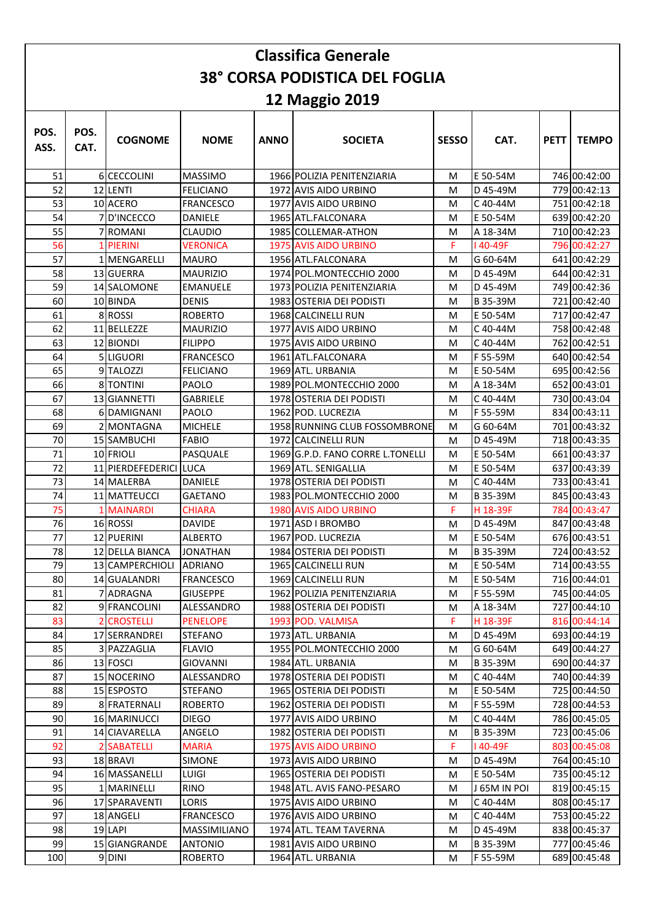| <b>Classifica Generale</b>            |                |                                 |                                 |             |                                                          |              |                      |             |                          |  |
|---------------------------------------|----------------|---------------------------------|---------------------------------|-------------|----------------------------------------------------------|--------------|----------------------|-------------|--------------------------|--|
| <b>38° CORSA PODISTICA DEL FOGLIA</b> |                |                                 |                                 |             |                                                          |              |                      |             |                          |  |
| <b>12 Maggio 2019</b>                 |                |                                 |                                 |             |                                                          |              |                      |             |                          |  |
| POS.<br>ASS.                          | POS.<br>CAT.   | <b>COGNOME</b>                  | <b>NOME</b>                     | <b>ANNO</b> | <b>SOCIETA</b>                                           | <b>SESSO</b> | CAT.                 | <b>PETT</b> | <b>TEMPO</b>             |  |
| 51                                    |                | 6 CECCOLINI                     | <b>MASSIMO</b>                  |             | 1966 POLIZIA PENITENZIARIA                               | м            | E 50-54M             |             | 746 00:42:00             |  |
| 52                                    |                | 12 LENTI                        | <b>FELICIANO</b>                |             | 1972 AVIS AIDO URBINO                                    | M            | D 45-49M             |             | 779 00:42:13             |  |
| 53                                    |                | 10 ACERO                        | <b>FRANCESCO</b>                |             | 1977 AVIS AIDO URBINO                                    | M            | C 40-44M             |             | 751 00:42:18             |  |
| 54                                    |                | 7 D'INCECCO                     | <b>DANIELE</b>                  |             | 1965 ATL FALCONARA                                       | M            | E 50-54M             |             | 639 00:42:20             |  |
| 55                                    |                | 7 ROMANI                        | <b>CLAUDIO</b>                  |             | 1985 COLLEMAR-ATHON                                      | M            | A 18-34M             |             | 710 00:42:23             |  |
| 56                                    |                | 1 PIERINI                       | <b>VERONICA</b>                 |             | 1975 AVIS AIDO URBINO                                    | F            | I 40-49F             |             | 796 00:42:27             |  |
| 57                                    |                | 1 MENGARELLI                    | <b>MAURO</b>                    |             | 1956 ATL FALCONARA                                       | M            | G 60-64M             |             | 641 00:42:29             |  |
| 58                                    |                | 13 GUERRA                       | <b>MAURIZIO</b>                 |             | 1974 POL.MONTECCHIO 2000                                 | M            | D 45-49M             |             | 644 00:42:31             |  |
| 59                                    |                | 14 SALOMONE                     | <b>EMANUELE</b>                 |             | 1973 POLIZIA PENITENZIARIA                               | M            | D 45-49M             |             | 749 00:42:36             |  |
| 60                                    |                | 10 BINDA                        | <b>DENIS</b>                    |             | 1983 OSTERIA DEI PODISTI                                 | M            | B 35-39M             |             | 721 00:42:40             |  |
| 61                                    |                | 8 ROSSI                         | <b>ROBERTO</b>                  |             | 1968 CALCINELLI RUN                                      | м            | E 50-54M             |             | 717 00:42:47             |  |
| 62                                    |                | 11 BELLEZZE                     | <b>MAURIZIO</b>                 |             | 1977 AVIS AIDO URBINO                                    | M            | C 40-44M             |             | 758 00:42:48             |  |
| 63                                    |                | 12 BIONDI                       | <b>FILIPPO</b>                  |             | 1975 AVIS AIDO URBINO                                    | M            | C 40-44M             |             | 762 00:42:51             |  |
| 64                                    |                | 5 LIGUORI                       | <b>FRANCESCO</b>                |             | 1961 ATL.FALCONARA                                       | M            | F 55-59M             |             | 640 00:42:54             |  |
| 65                                    |                | 9 TALOZZI                       | <b>FELICIANO</b>                |             | 1969 ATL. URBANIA                                        | М            | E 50-54M             |             | 695 00:42:56             |  |
| 66                                    |                | <b>8ITONTINI</b>                | <b>PAOLO</b>                    |             | 1989 POL.MONTECCHIO 2000                                 | M            | A 18-34M             |             | 652 00:43:01             |  |
| 67                                    |                | 13 GIANNETTI                    | <b>GABRIELE</b>                 |             | 1978 OSTERIA DEI PODISTI                                 | M            | C 40-44M             |             | 730 00:43:04             |  |
| 68                                    |                | 6 DAMIGNANI                     | PAOLO                           |             | 1962 POD. LUCREZIA                                       | M            | F 55-59M             |             | 834 00:43:11             |  |
| 69                                    |                | 2 MONTAGNA                      | <b>MICHELE</b>                  |             | 1958 RUNNING CLUB FOSSOMBRONE                            | M            | G 60-64M             |             | 701 00:43:32             |  |
| 70                                    |                | 15 SAMBUCHI                     | <b>FABIO</b>                    |             | 1972 CALCINELLI RUN                                      | M            | D 45-49M             |             | 718 00:43:35             |  |
| 71                                    |                | 10 FRIOLI                       | PASQUALE                        |             | 1969 G.P.D. FANO CORRE L.TONELLI                         | M            | E 50-54M             |             | 661 00:43:37             |  |
| 72                                    |                | 11 PIERDEFEDERICI LUCA          |                                 |             | 1969 ATL. SENIGALLIA                                     | M            | E 50-54M             |             | 637 00:43:39             |  |
| 73<br>74                              |                | 14 MALERBA                      | <b>DANIELE</b>                  |             | 1978 OSTERIA DEI PODISTI                                 | M            | C40-44M              |             | 733 00:43:41             |  |
| 75                                    | 1 I            | 11 MATTEUCCI<br><b>MAINARDI</b> | <b>GAETANO</b><br><b>CHIARA</b> |             | 1983 POL.MONTECCHIO 2000<br><b>1980 AVIS AIDO URBINO</b> | M<br>F       | B 35-39M<br>H 18-39F | 784         | 845 00:43:43<br>00:43:47 |  |
| 76                                    |                | 16 ROSSI                        | <b>DAVIDE</b>                   |             | 1971 ASD I BROMBO                                        | M            | D 45-49M             |             | 847 00:43:48             |  |
| 77                                    |                | 12 PUERINI                      | <b>ALBERTO</b>                  |             | 1967 POD. LUCREZIA                                       |              | E 50-54M             |             | 676 00:43:51             |  |
| 78                                    |                | 12 DELLA BIANCA                 | <b>JONATHAN</b>                 |             | 1984 OSTERIA DEI PODISTI                                 | M<br>м       | B 35-39M             |             | 724 00:43:52             |  |
| 79                                    |                | 13 CAMPERCHIOLI                 | <b>ADRIANO</b>                  |             | 1965 CALCINELLI RUN                                      | м            | E 50-54M             |             | 714 00:43:55             |  |
| 80                                    |                | 14 GUALANDRI                    | <b>FRANCESCO</b>                |             | 1969 CALCINELLI RUN                                      | м            | E 50-54M             |             | 716 00:44:01             |  |
| 81                                    |                | 7 ADRAGNA                       | <b>GIUSEPPE</b>                 |             | 1962 POLIZIA PENITENZIARIA                               | м            | F 55-59M             |             | 745 00:44:05             |  |
| 82                                    |                | 9 FRANCOLINI                    | ALESSANDRO                      |             | 1988 OSTERIA DEI PODISTI                                 | м            | A 18-34M             |             | 727 00:44:10             |  |
| 83                                    | $\overline{2}$ | <b>CROSTELLI</b>                | <b>PENELOPE</b>                 |             | 1993 POD. VALMISA                                        | F.           | H 18-39F             |             | 816 00:44:14             |  |
| 84                                    |                | 17 SERRANDREI                   | <b>STEFANO</b>                  |             | 1973 ATL. URBANIA                                        | м            | D 45-49M             |             | 693 00:44:19             |  |
| 85                                    |                | 3 PAZZAGLIA                     | <b>FLAVIO</b>                   |             | 1955 POL.MONTECCHIO 2000                                 | М            | G 60-64M             |             | 649 00:44:27             |  |
| 86                                    |                | 13 FOSCI                        | <b>GIOVANNI</b>                 |             | 1984 ATL. URBANIA                                        | м            | B 35-39M             |             | 690 00:44:37             |  |
| 87                                    |                | 15 NOCERINO                     | ALESSANDRO                      |             | 1978 OSTERIA DEI PODISTI                                 | Μ            | C 40-44M             |             | 740 00:44:39             |  |
| 88                                    |                | 15 ESPOSTO                      | <b>STEFANO</b>                  |             | 1965 OSTERIA DEI PODISTI                                 | Μ            | E 50-54M             |             | 725 00:44:50             |  |
| 89                                    |                | 8 FRATERNALI                    | <b>ROBERTO</b>                  |             | 1962 OSTERIA DEI PODISTI                                 | Μ            | F 55-59M             |             | 728 00:44:53             |  |
| 90                                    |                | <b>16 MARINUCCI</b>             | <b>DIEGO</b>                    |             | 1977 AVIS AIDO URBINO                                    | м            | C 40-44M             |             | 786 00:45:05             |  |
| 91                                    |                | 14 CIAVARELLA                   | ANGELO                          |             | 1982 OSTERIA DEI PODISTI                                 | М            | B 35-39M             |             | 723 00:45:06             |  |
| 92                                    |                | 2 SABATELLI                     | <b>MARIA</b>                    |             | <b>1975 AVIS AIDO URBINO</b>                             | F.           | I 40-49F             |             | 803 00:45:08             |  |
| 93                                    |                | 18 BRAVI                        | <b>SIMONE</b>                   |             | 1973 AVIS AIDO URBINO                                    | M            | D 45-49M             |             | 764 00:45:10             |  |
| 94                                    |                | 16 MASSANELLI                   | <b>LUIGI</b>                    |             | 1965 OSTERIA DEI PODISTI                                 | м            | E 50-54M             |             | 735 00:45:12             |  |
| 95                                    |                | 1 MARINELLI                     | <b>RINO</b>                     |             | 1948 ATL. AVIS FANO-PESARO                               | м            | J 65M IN POI         |             | 819 00:45:15             |  |
| 96                                    |                | 17 SPARAVENTI                   | <b>LORIS</b>                    |             | 1975 AVIS AIDO URBINO                                    | М            | C 40-44M             |             | 808 00:45:17             |  |
| 97                                    |                | 18 ANGELI                       | <b>FRANCESCO</b>                |             | 1976 AVIS AIDO URBINO                                    | м            | C 40-44M             |             | 753 00:45:22             |  |
| 98                                    |                | 19 LAPI                         | <b>MASSIMILIANO</b>             |             | 1974 ATL. TEAM TAVERNA                                   | м            | D 45-49M             |             | 838 00:45:37             |  |
| 99                                    |                | 15 GIANGRANDE                   | <b>ANTONIO</b>                  |             | 1981 AVIS AIDO URBINO                                    | М            | B 35-39M             |             | 777 00:45:46             |  |
| 100                                   |                | 9 DINI                          | <b>ROBERTO</b>                  |             | 1964 ATL. URBANIA                                        | М            | F 55-59M             |             | 689 00:45:48             |  |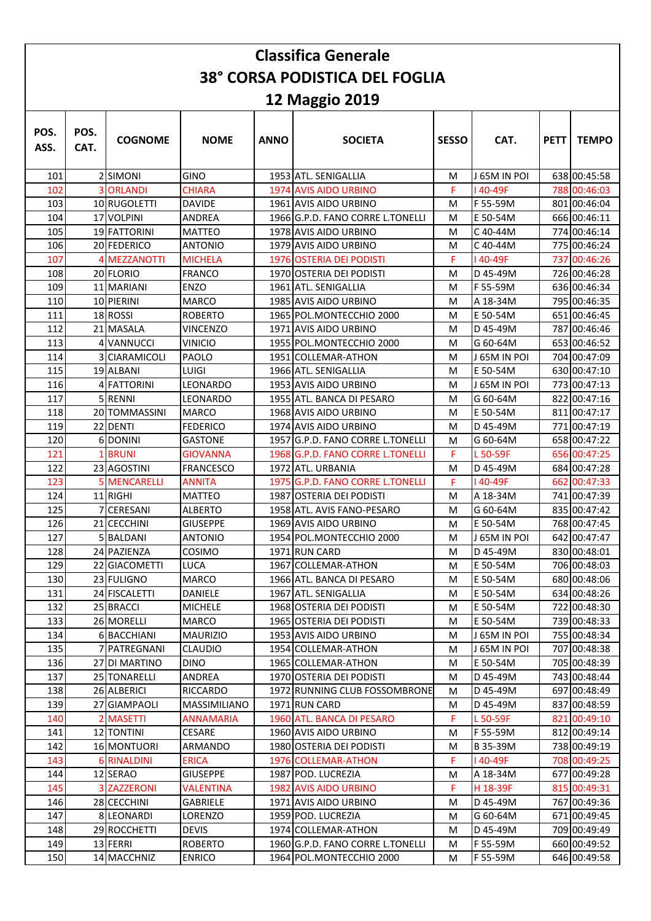| <b>Classifica Generale</b>            |              |                             |                                   |             |                                                           |              |                      |             |                              |  |
|---------------------------------------|--------------|-----------------------------|-----------------------------------|-------------|-----------------------------------------------------------|--------------|----------------------|-------------|------------------------------|--|
| <b>38° CORSA PODISTICA DEL FOGLIA</b> |              |                             |                                   |             |                                                           |              |                      |             |                              |  |
| <b>12 Maggio 2019</b>                 |              |                             |                                   |             |                                                           |              |                      |             |                              |  |
| POS.<br>ASS.                          | POS.<br>CAT. | <b>COGNOME</b>              | <b>NOME</b>                       | <b>ANNO</b> | <b>SOCIETA</b>                                            | <b>SESSO</b> | CAT.                 | <b>PETT</b> | <b>TEMPO</b>                 |  |
| 101                                   |              | 2 SIMONI                    | <b>GINO</b>                       |             | 1953 ATL. SENIGALLIA                                      | м            | J 65M IN POI         |             | 638 00:45:58                 |  |
| 102                                   |              | <b>3 ORLANDI</b>            | <b>CHIARA</b>                     |             | 1974 AVIS AIDO URBINO                                     | F            | I 40-49F             |             | 788 00:46:03                 |  |
| 103                                   |              | 10 RUGOLETTI                | <b>DAVIDE</b>                     |             | 1961 AVIS AIDO URBINO                                     | M            | F 55-59M             |             | 801 00:46:04                 |  |
| 104                                   |              | 17 VOLPINI                  | <b>ANDREA</b>                     |             | 1966 G.P.D. FANO CORRE L.TONELLI                          | M            | E 50-54M             |             | 666 00:46:11                 |  |
| 105                                   |              | 19 FATTORINI                | <b>MATTEO</b>                     |             | 1978 AVIS AIDO URBINO                                     | M            | C 40-44M             |             | 774 00:46:14                 |  |
| 106                                   |              | 20 FEDERICO                 | <b>ANTONIO</b>                    |             | 1979 AVIS AIDO URBINO                                     | М            | C 40-44M             |             | 775 00:46:24                 |  |
| 107                                   | 4            | <b>MEZZANOTTI</b>           | <b>MICHELA</b>                    |             | <b>1976 OSTERIA DEI PODISTI</b>                           | F            | I 40-49F             |             | 737 00:46:26                 |  |
| 108                                   |              | 20 FLORIO                   | <b>FRANCO</b>                     |             | 1970 OSTERIA DEI PODISTI                                  | М            | D 45-49M             |             | 726 00:46:28                 |  |
| 109                                   |              | 11 MARIANI<br>10 PIERINI    | <b>ENZO</b>                       |             | 1961 ATL. SENIGALLIA                                      | M            | F 55-59M             |             | 636 00:46:34                 |  |
| 110                                   |              |                             | <b>MARCO</b>                      |             | 1985 AVIS AIDO URBINO                                     | M            | A 18-34M             |             | 795 00:46:35<br>651 00:46:45 |  |
| 111<br>112                            |              | 18 ROSSI<br>21 MASALA       | <b>ROBERTO</b><br><b>VINCENZO</b> |             | 1965 POL.MONTECCHIO 2000<br>1971 AVIS AIDO URBINO         | М<br>М       | E 50-54M<br>D 45-49M |             | 787 00:46:46                 |  |
| 113                                   |              | 4 VANNUCCI                  | <b>VINICIO</b>                    |             | 1955 POL.MONTECCHIO 2000                                  | M            | G 60-64M             |             | 653 00:46:52                 |  |
| 114                                   |              | 3 CIARAMICOLI               | PAOLO                             |             | 1951 COLLEMAR-ATHON                                       | M            | J 65M IN POI         |             | 704 00:47:09                 |  |
| 115                                   |              | 19 ALBANI                   | LUIGI                             |             | 1966 ATL. SENIGALLIA                                      | М            | E 50-54M             |             | 630 00:47:10                 |  |
| 116                                   |              | 4 FATTORINI                 | LEONARDO                          |             | 1953 AVIS AIDO URBINO                                     | M            | J 65M IN POI         |             | 773 00:47:13                 |  |
| 117                                   |              | 5RENNI                      | <b>LEONARDO</b>                   |             | 1955 ATL. BANCA DI PESARO                                 | M            | G 60-64M             | 822         | 00:47:16                     |  |
| 118                                   |              | 20 TOMMASSINI               | <b>MARCO</b>                      |             | 1968 AVIS AIDO URBINO                                     | M            | E 50-54M             |             | 811 00:47:17                 |  |
| 119                                   |              | 22 DENTI                    | <b>FEDERICO</b>                   |             | 1974 AVIS AIDO URBINO                                     | M            | D 45-49M             |             | 771 00:47:19                 |  |
| 120                                   |              | 6 DONINI                    | <b>GASTONE</b>                    |             | 1957 G.P.D. FANO CORRE L.TONELLI                          | M            | G 60-64M             |             | 658 00:47:22                 |  |
| 121                                   |              | 1 BRUNI                     | <b>GIOVANNA</b>                   |             | 1968 G.P.D. FANO CORRE L.TONELLI                          | F            | L 50-59F             |             | 656 00:47:25                 |  |
| 122                                   |              | 23 AGOSTINI                 | <b>FRANCESCO</b>                  |             | 1972 ATL. URBANIA                                         | M            | D 45-49M             |             | 684 00:47:28                 |  |
| 123                                   |              | <b>MENCARELLI</b>           | <b>ANNITA</b>                     |             | 1975 G.P.D. FANO CORRE L.TONELLI                          | F            | I40-49F              |             | 662 00:47:33                 |  |
| 124                                   |              | 11 RIGHI                    | <b>MATTEO</b>                     |             | 1987 OSTERIA DEI PODISTI                                  | M            | A 18-34M             |             | 741 00:47:39                 |  |
| 125                                   |              | 7 CERESANI                  | <b>ALBERTO</b>                    |             | 1958 ATL. AVIS FANO-PESARO                                | M            | G 60-64M             |             | 835 00:47:42                 |  |
| 126                                   |              | 21 CECCHINI                 | <b>GIUSEPPE</b>                   |             | 1969 AVIS AIDO URBINO                                     | M            | E 50-54M             |             | 768 00:47:45                 |  |
| 127                                   |              | 5 BALDANI                   | <b>ANTONIO</b>                    |             | 1954 POL.MONTECCHIO 2000                                  | M            | J 65M IN POI         |             | 642 00:47:47                 |  |
| 128                                   |              | 24 PAZIENZA                 | COSIMO                            |             | 1971 RUN CARD                                             | м            | D 45-49M             |             | 830 00:48:01                 |  |
| 129                                   |              | 22 GIACOMETTI               | <b>LUCA</b>                       |             | 1967 COLLEMAR-ATHON                                       | м            | E 50-54M             |             | 706 00:48:03                 |  |
| 130                                   |              | 23 FULIGNO                  | <b>MARCO</b>                      |             | 1966 ATL. BANCA DI PESARO                                 | М            | E 50-54M             |             | 680 00:48:06                 |  |
| 131                                   |              | 24 FISCALETTI               | DANIELE                           |             | 1967 ATL. SENIGALLIA                                      | м            | E 50-54M             |             | 634 00:48:26                 |  |
| 132                                   |              | 25 BRACCI                   | <b>MICHELE</b>                    |             | 1968 OSTERIA DEI PODISTI                                  | м            | E 50-54M             |             | 722 00:48:30                 |  |
| 133                                   |              | 26 MORELLI                  | <b>MARCO</b>                      |             | 1965 OSTERIA DEI PODISTI                                  | М            | E 50-54M             |             | 739 00:48:33                 |  |
| 134                                   |              | 6 BACCHIANI                 | <b>MAURIZIO</b>                   |             | 1953 AVIS AIDO URBINO                                     | М            | J 65M IN POI         |             | 755 00:48:34                 |  |
| 135                                   |              | 7 PATREGNANI                | <b>CLAUDIO</b>                    |             | 1954 COLLEMAR-ATHON                                       | М            | J 65M IN POI         |             | 707 00:48:38                 |  |
| 136                                   |              | 27 DI MARTINO               | <b>DINO</b>                       |             | 1965 COLLEMAR-ATHON                                       | м            | E 50-54M             |             | 705 00:48:39<br>743 00:48:44 |  |
| 137<br>138                            |              | 25 TONARELLI<br>26 ALBERICI | ANDREA<br><b>RICCARDO</b>         |             | 1970 OSTERIA DEI PODISTI<br>1972 RUNNING CLUB FOSSOMBRONE | м            | D 45-49M<br>D 45-49M |             | 697 00:48:49                 |  |
| 139                                   |              | 27 GIAMPAOLI                | <b>MASSIMILIANO</b>               |             | 1971 RUN CARD                                             | M<br>м       | D 45-49M             |             | 837 00:48:59                 |  |
| 140                                   | 2            | <b>MASETTI</b>              | <b>ANNAMARIA</b>                  |             | 1960 ATL. BANCA DI PESARO                                 | F.           | L 50-59F             |             | 821 00:49:10                 |  |
| 141                                   |              | 12 TONTINI                  | CESARE                            |             | 1960 AVIS AIDO URBINO                                     | м            | F 55-59M             |             | 812 00:49:14                 |  |
| 142                                   |              | <b>16 MONTUORI</b>          | <b>ARMANDO</b>                    |             | 1980 OSTERIA DEI PODISTI                                  | М            | B 35-39M             |             | 738 00:49:19                 |  |
| 143                                   |              | 6 RINALDINI                 | <b>ERICA</b>                      |             | 1976 COLLEMAR-ATHON                                       | F.           | I 40-49F             |             | 708 00:49:25                 |  |
| 144                                   |              | 12 SERAO                    | <b>GIUSEPPE</b>                   |             | 1987 POD. LUCREZIA                                        | М            | A 18-34M             |             | 677 00:49:28                 |  |
| 145                                   |              | 3 ZAZZERONI                 | <b>VALENTINA</b>                  |             | 1982 AVIS AIDO URBINO                                     | F.           | H 18-39F             |             | 815 00:49:31                 |  |
| 146                                   |              | 28 CECCHINI                 | <b>GABRIELE</b>                   |             | 1971 AVIS AIDO URBINO                                     | М            | D 45-49M             |             | 767 00:49:36                 |  |
| 147                                   |              | 8 LEONARDI                  | LORENZO                           |             | 1959 POD. LUCREZIA                                        | м            | G 60-64M             |             | 671 00:49:45                 |  |
| 148                                   |              | 29 ROCCHETTI                | <b>DEVIS</b>                      |             | 1974 COLLEMAR-ATHON                                       | м            | D 45-49M             |             | 709 00:49:49                 |  |
| 149                                   |              | 13 FERRI                    | <b>ROBERTO</b>                    |             | 1960 G.P.D. FANO CORRE L.TONELLI                          | м            | F 55-59M             |             | 660 00:49:52                 |  |
| 150                                   |              | 14 MACCHNIZ                 | <b>ENRICO</b>                     |             | 1964 POL.MONTECCHIO 2000                                  | М            | F 55-59M             |             | 646 00:49:58                 |  |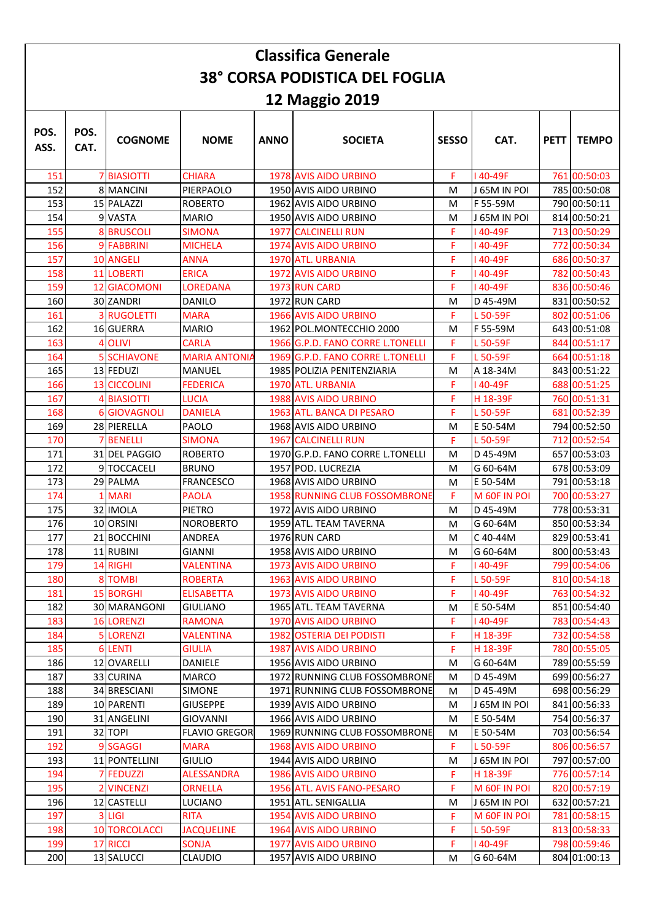| <b>Classifica Generale</b>            |              |                                  |                              |             |                                                       |              |                          |             |                              |  |
|---------------------------------------|--------------|----------------------------------|------------------------------|-------------|-------------------------------------------------------|--------------|--------------------------|-------------|------------------------------|--|
| <b>38° CORSA PODISTICA DEL FOGLIA</b> |              |                                  |                              |             |                                                       |              |                          |             |                              |  |
| <b>12 Maggio 2019</b>                 |              |                                  |                              |             |                                                       |              |                          |             |                              |  |
| POS.<br>ASS.                          | POS.<br>CAT. | <b>COGNOME</b>                   | <b>NOME</b>                  | <b>ANNO</b> | <b>SOCIETA</b>                                        | <b>SESSO</b> | CAT.                     | <b>PETT</b> | <b>TEMPO</b>                 |  |
| 151                                   |              | <b>7 BIASIOTTI</b>               | <b>CHIARA</b>                |             | 1978 AVIS AIDO URBINO                                 | F            | I 40-49F                 |             | 761 00:50:03                 |  |
| 152                                   |              | 8 MANCINI                        | PIERPAOLO                    |             | 1950 AVIS AIDO URBINO                                 | M            | J 65M IN POI             |             | 785 00:50:08                 |  |
| 153                                   |              | 15 PALAZZI                       | <b>ROBERTO</b>               |             | 1962 AVIS AIDO URBINO                                 | M            | F 55-59M                 |             | 790 00:50:11                 |  |
| 154                                   |              | 9 VASTA                          | <b>MARIO</b>                 |             | 1950 AVIS AIDO URBINO                                 | M            | J 65M IN POI             |             | 814 00:50:21                 |  |
| 155                                   |              | <b>8 BRUSCOLI</b>                | <b>SIMONA</b>                | 1977        | <b>CALCINELLI RUN</b>                                 | F            | l 40-49F                 |             | 713 00:50:29                 |  |
| 156                                   |              | 9 FABBRINI                       | <b>MICHELA</b>               |             | 1974 AVIS AIDO URBINO                                 | F            | I 40-49F                 |             | 772 00:50:34                 |  |
| 157                                   |              | <b>10 ANGELI</b>                 | <b>ANNA</b>                  |             | 1970 ATL. URBANIA                                     | F            | I40-49F                  |             | 686 00:50:37                 |  |
| 158                                   |              | <b>11 LOBERTI</b>                | <b>ERICA</b>                 |             | <b>1972 AVIS AIDO URBINO</b>                          | F            | l 40-49F                 |             | 782 00:50:43                 |  |
| 159                                   |              | <b>12 GIACOMONI</b>              | <b>LOREDANA</b>              |             | 1973 RUN CARD                                         | F.           | I40-49F                  |             | 836 00:50:46                 |  |
| 160                                   |              | 30 ZANDRI                        | <b>DANILO</b>                |             | 1972 RUN CARD                                         | M            | D 45-49M                 |             | 831 00:50:52                 |  |
| 161                                   |              | <b>3 RUGOLETTI</b>               | <b>MARA</b>                  |             | <b>1966 AVIS AIDO URBINO</b>                          | F            | L 50-59F                 |             | 802 00:51:06                 |  |
| 162                                   |              | 16 GUERRA                        | <b>MARIO</b>                 |             | 1962 POL.MONTECCHIO 2000                              | M            | F 55-59M                 |             | 643 00:51:08                 |  |
| 163                                   |              | 4 OLIVI                          | <b>CARLA</b>                 |             | 1966 G.P.D. FANO CORRE L.TONELLI                      | F            | L 50-59F                 |             | 844 00:51:17                 |  |
| 164                                   |              | <b>SCHIAVONE</b>                 | <b>MARIA ANTONIA</b>         |             | 1969 G.P.D. FANO CORRE L.TONELLI                      | F            | L 50-59F                 |             | 664 00:51:18                 |  |
| 165<br>166                            |              | 13 FEDUZI<br><b>13 CICCOLINI</b> | MANUEL<br><b>FEDERICA</b>    |             | 1985 POLIZIA PENITENZIARIA<br>1970 ATL. URBANIA       | M<br>F       | A 18-34M<br>I40-49F      |             | 843 00:51:22<br>688 00:51:25 |  |
| 167                                   |              | 4 BIASIOTTI                      | <b>LUCIA</b>                 |             | 1988 AVIS AIDO URBINO                                 | F            | H 18-39F                 |             | 760 00:51:31                 |  |
| 168                                   |              | <b>6 GIOVAGNOLI</b>              | <b>DANIELA</b>               |             | 1963 ATL. BANCA DI PESARO                             | F            | L 50-59F                 |             | 681 00:52:39                 |  |
| 169                                   |              | 28 PIERELLA                      | <b>PAOLO</b>                 |             | 1968 AVIS AIDO URBINO                                 | M            | E 50-54M                 |             | 794 00:52:50                 |  |
| 170                                   |              | <b>7 BENELLI</b>                 | <b>SIMONA</b>                |             | <b>1967 CALCINELLI RUN</b>                            | F.           | L 50-59F                 |             | 712 00:52:54                 |  |
| 171                                   |              | 31 DEL PAGGIO                    | <b>ROBERTO</b>               |             | 1970 G.P.D. FANO CORRE L.TONELLI                      | M            | D 45-49M                 |             | 657 00:53:03                 |  |
| 172                                   |              | 9 TOCCACELI                      | <b>BRUNO</b>                 |             | 1957 POD. LUCREZIA                                    | M            | G 60-64M                 |             | 678 00:53:09                 |  |
| 173                                   |              | 29 PALMA                         | <b>FRANCESCO</b>             |             | 1968 AVIS AIDO URBINO                                 | M            | E 50-54M                 |             | 791 00:53:18                 |  |
| 174                                   |              | 1 MARI                           | <b>PAOLA</b>                 |             | <b>1958 RUNNING CLUB FOSSOMBRONE</b>                  | F            | M 60F IN POI             |             | 700 00:53:27                 |  |
| 175                                   |              | 32 IMOLA                         | PIETRO                       |             | 1972 AVIS AIDO URBINO                                 | M            | D 45-49M                 |             | 778 00:53:31                 |  |
| 176                                   |              | 10 ORSINI                        | <b>NOROBERTO</b>             |             | 1959 ATL. TEAM TAVERNA                                | M            | G 60-64M                 |             | 850 00:53:34                 |  |
| 177                                   |              | 21 BOCCHINI                      | <b>ANDREA</b>                |             | 1976 RUN CARD                                         | М            | C 40-44M                 |             | 829 00:53:41                 |  |
| 178                                   |              | 11 RUBINI                        | <b>GIANNI</b>                |             | 1958 AVIS AIDO URBINO                                 | M            | G 60-64M                 |             | 800 00:53:43                 |  |
| 179                                   |              | 14 RIGHI                         | <b>VALENTINA</b>             |             | 1973 AVIS AIDO URBINO                                 | F            | 140-49F                  |             | 799 00:54:06                 |  |
| 180                                   |              | 8 TOMBI                          | <b>ROBERTA</b>               |             | <b>1963 AVIS AIDO URBINO</b>                          | F            | L 50-59F                 |             | 810 00:54:18                 |  |
| 181                                   |              | <b>15 BORGHI</b>                 | <b>ELISABETTA</b>            |             | 1973 AVIS AIDO URBINO                                 | F.           | I 40-49F                 |             | 763 00:54:32                 |  |
| 182                                   |              | 30 MARANGONI                     | <b>GIULIANO</b>              |             | 1965 ATL. TEAM TAVERNA                                | м            | E 50-54M                 |             | 851 00:54:40                 |  |
| 183                                   |              | <b>16 LORENZI</b>                | <b>RAMONA</b>                |             | 1970 AVIS AIDO URBINO                                 | F.           | I 40-49F                 |             | 783 00:54:43                 |  |
| 184                                   |              | <b>5 LORENZI</b>                 | <b>VALENTINA</b>             |             | <b>1982 OSTERIA DEI PODISTI</b>                       | F.           | H 18-39F                 |             | 732 00:54:58                 |  |
| 185                                   |              | <b>6 LENTI</b>                   | <b>GIULIA</b>                |             | 1987 AVIS AIDO URBINO                                 | F.           | H 18-39F                 |             | 780 00:55:05                 |  |
| 186                                   |              | 12 OVARELLI                      | <b>DANIELE</b>               |             | 1956 AVIS AIDO URBINO                                 | м            | G 60-64M                 |             | 789 00:55:59                 |  |
| 187                                   |              | 33 CURINA                        | <b>MARCO</b>                 |             | 1972 RUNNING CLUB FOSSOMBRONE                         | M            | D 45-49M                 |             | 699 00:56:27                 |  |
| 188                                   |              | 34 BRESCIANI                     | <b>SIMONE</b>                |             | 1971 RUNNING CLUB FOSSOMBRONE                         | м            | D 45-49M                 |             | 698 00:56:29                 |  |
| 189                                   |              | 10 PARENTI                       | <b>GIUSEPPE</b>              |             | 1939 AVIS AIDO URBINO                                 | м            | J 65M IN POI             |             | 841 00:56:33                 |  |
| 190                                   |              | 31 ANGELINI                      | GIOVANNI                     |             | 1966 AVIS AIDO URBINO                                 | М            | E 50-54M                 |             | 754 00:56:37                 |  |
| 191                                   |              | 32 TOPI                          | <b>FLAVIO GREGOR</b>         |             | 1969 RUNNING CLUB FOSSOMBRONE                         | Μ            | E 50-54M                 |             | 703 00:56:54                 |  |
| 192<br>193                            |              | 9 SGAGGI<br>11 PONTELLINI        | <b>MARA</b><br><b>GIULIO</b> |             | 1968 AVIS AIDO URBINO                                 | F.           | L 50-59F<br>J 65M IN POI |             | 806 00:56:57<br>797 00:57:00 |  |
| 194                                   |              | 7 FEDUZZI                        | <b>ALESSANDRA</b>            |             | 1944 AVIS AIDO URBINO<br><b>1986 AVIS AIDO URBINO</b> | М<br>F.      | H 18-39F                 |             | 776 00:57:14                 |  |
| 195                                   |              | 2 VINCENZI                       | <b>ORNELLA</b>               |             | 1956 ATL. AVIS FANO-PESARO                            | F            | M 60F IN POI             |             | 820 00:57:19                 |  |
| 196                                   |              | 12 CASTELLI                      | <b>LUCIANO</b>               |             | 1951 ATL. SENIGALLIA                                  | М            | J 65M IN POI             |             | 632 00:57:21                 |  |
| 197                                   |              | 3 LIGI                           | <b>RITA</b>                  |             | 1954 AVIS AIDO URBINO                                 | F            | M 60F IN POI             |             | 781 00:58:15                 |  |
| 198                                   |              | <b>10 TORCOLACCI</b>             | <b>JACQUELINE</b>            |             | 1964 AVIS AIDO URBINO                                 | F.           | L 50-59F                 |             | 813 00:58:33                 |  |
| 199                                   |              | 17 RICCI                         | <b>SONJA</b>                 |             | 1977 AVIS AIDO URBINO                                 | F.           | I 40-49F                 |             | 798 00:59:46                 |  |
| 200                                   |              | 13 SALUCCI                       | <b>CLAUDIO</b>               |             | 1957 AVIS AIDO URBINO                                 | М            | G 60-64M                 |             | 804 01:00:13                 |  |